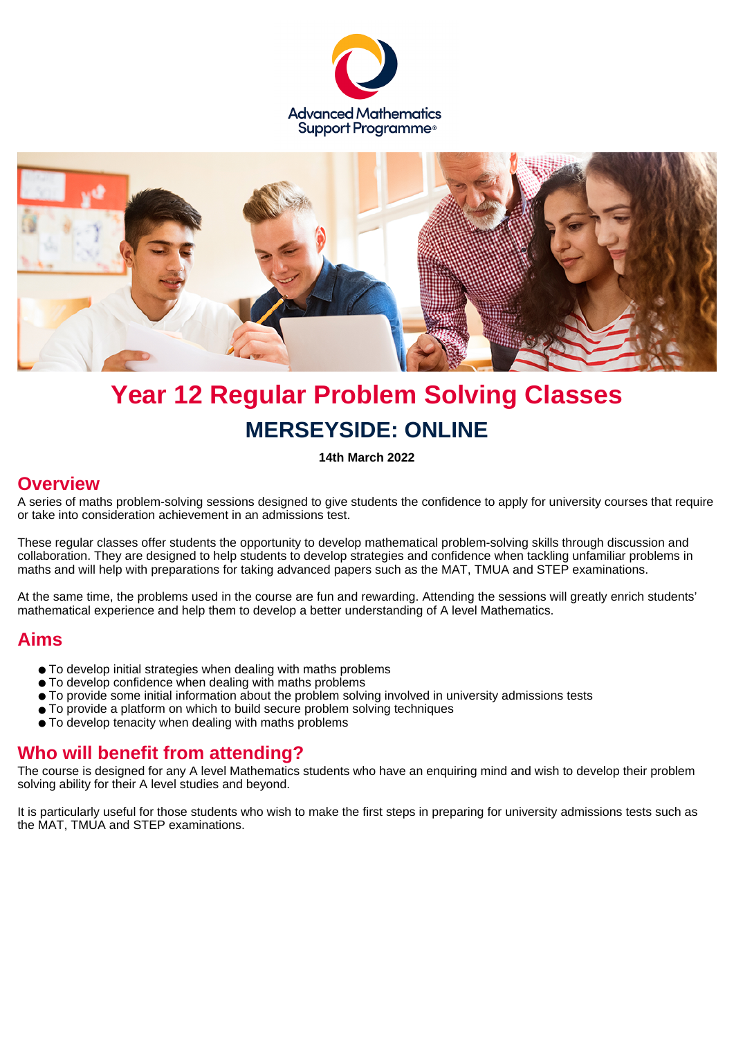



# **Year 12 Regular Problem Solving Classes MERSEYSIDE: ONLINE**

**14th March 2022**

#### **Overview**

A series of maths problem-solving sessions designed to give students the confidence to apply for university courses that require or take into consideration achievement in an admissions test.

These regular classes offer students the opportunity to develop mathematical problem-solving skills through discussion and collaboration. They are designed to help students to develop strategies and confidence when tackling unfamiliar problems in maths and will help with preparations for taking advanced papers such as the MAT, TMUA and STEP examinations.

At the same time, the problems used in the course are fun and rewarding. Attending the sessions will greatly enrich students' mathematical experience and help them to develop a better understanding of A level Mathematics.

#### **Aims**

- To develop initial strategies when dealing with maths problems
- To develop confidence when dealing with maths problems
- To provide some initial information about the problem solving involved in university admissions tests
- To provide a platform on which to build secure problem solving techniques
- To develop tenacity when dealing with maths problems

#### **Who will benefit from attending?**

The course is designed for any A level Mathematics students who have an enquiring mind and wish to develop their problem solving ability for their A level studies and beyond.

It is particularly useful for those students who wish to make the first steps in preparing for university admissions tests such as the MAT, TMUA and STEP examinations.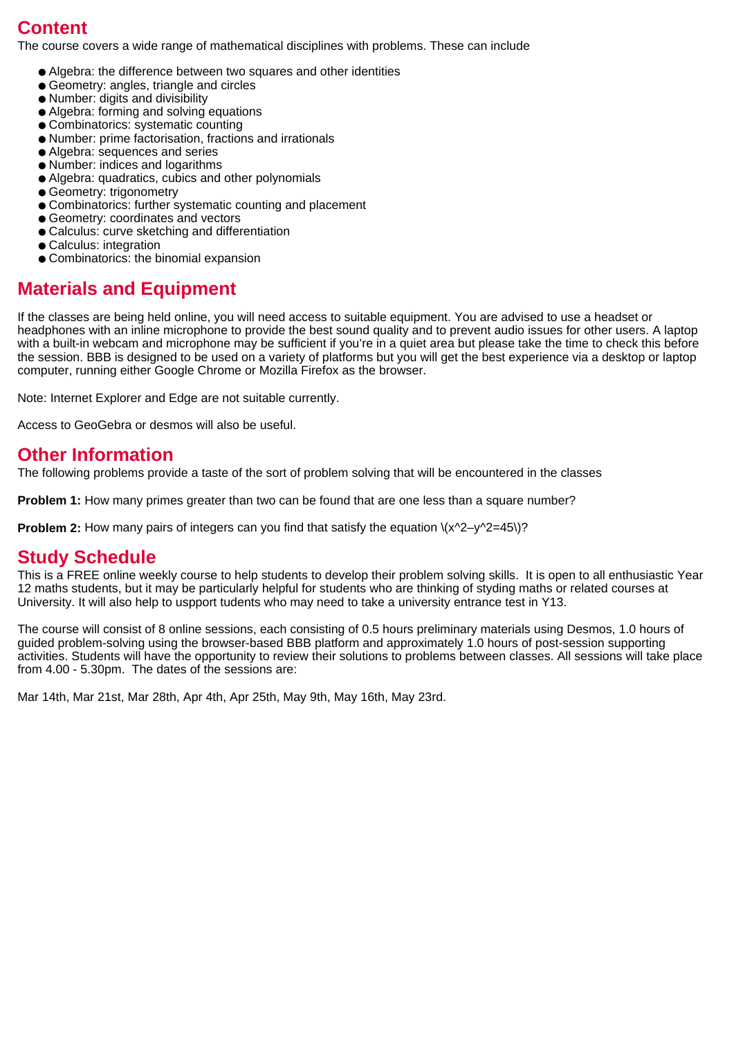## **Content**

The course covers a wide range of mathematical disciplines with problems. These can include

- Algebra: the difference between two squares and other identities
- Geometry: angles, triangle and circles
- Number: digits and divisibility
- Algebra: forming and solving equations
- Combinatorics: systematic counting
- Number: prime factorisation, fractions and irrationals
- Algebra: sequences and series
- Number: indices and logarithms
- Algebra: quadratics, cubics and other polynomials
- Geometry: trigonometry
- Combinatorics: further systematic counting and placement
- Geometry: coordinates and vectors
- Calculus: curve sketching and differentiation
- Calculus: integration
- Combinatorics: the binomial expansion

### **Materials and Equipment**

If the classes are being held online, you will need access to suitable equipment. You are advised to use a headset or headphones with an inline microphone to provide the best sound quality and to prevent audio issues for other users. A laptop with a built-in webcam and microphone may be sufficient if you're in a quiet area but please take the time to check this before the session. BBB is designed to be used on a variety of platforms but you will get the best experience via a desktop or laptop computer, running either Google Chrome or Mozilla Firefox as the browser.

Note: Internet Explorer and Edge are not suitable currently.

Access to GeoGebra or desmos will also be useful.

#### **Other Information**

The following problems provide a taste of the sort of problem solving that will be encountered in the classes

**Problem 1:** How many primes greater than two can be found that are one less than a square number?

**Problem 2:** How many pairs of integers can you find that satisfy the equation  $\langle x^2-y^2=45\rangle$ ?

#### **Study Schedule**

This is a FREE online weekly course to help students to develop their problem solving skills. It is open to all enthusiastic Year 12 maths students, but it may be particularly helpful for students who are thinking of styding maths or related courses at University. It will also help to uspport tudents who may need to take a university entrance test in Y13.

The course will consist of 8 online sessions, each consisting of 0.5 hours preliminary materials using Desmos, 1.0 hours of guided problem-solving using the browser-based BBB platform and approximately 1.0 hours of post-session supporting activities. Students will have the opportunity to review their solutions to problems between classes. All sessions will take place from 4.00 - 5.30pm. The dates of the sessions are:

Mar 14th, Mar 21st, Mar 28th, Apr 4th, Apr 25th, May 9th, May 16th, May 23rd.